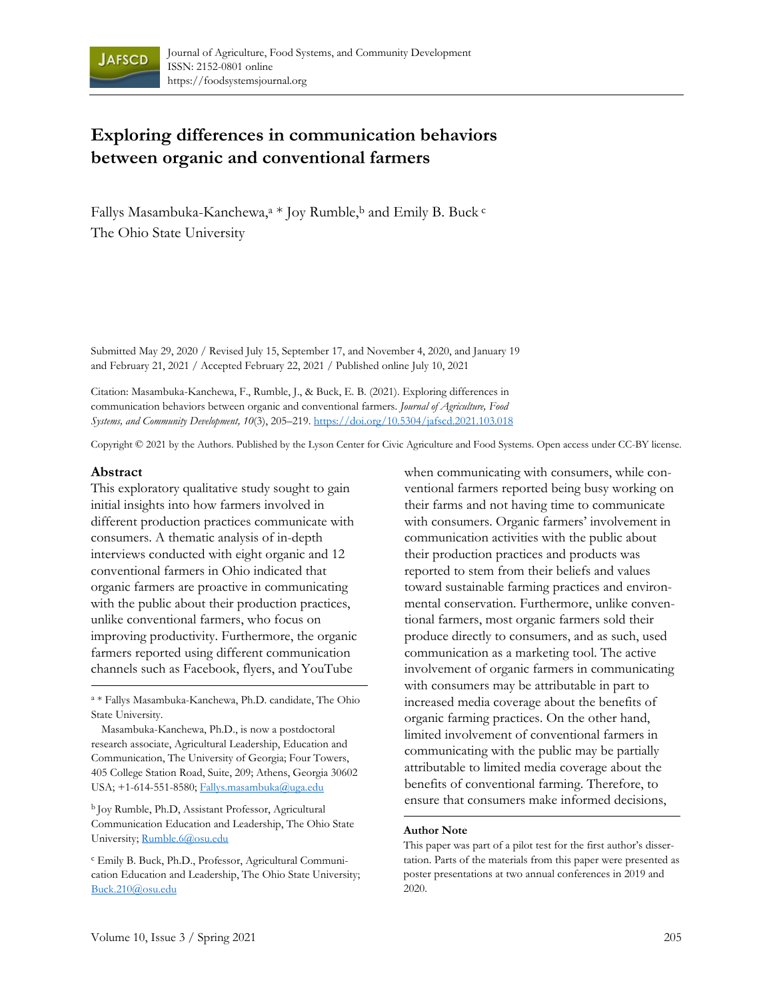

# **Exploring differences in communication behaviors between organic and conventional farmers**

Fallys Masambuka-Kanchewa,<sup>a</sup> \* Joy Rumble,<sup>b</sup> and Emily B. Buck c The Ohio State University

Submitted May 29, 2020 / Revised July 15, September 17, and November 4, 2020, and January 19 and February 21, 2021 / Accepted February 22, 2021 / Published online July 10, 2021

Citation: Masambuka-Kanchewa, F., Rumble, J., & Buck, E. B. (2021). Exploring differences in communication behaviors between organic and conventional farmers. *Journal of Agriculture, Food Systems, and Community Development, 10*(3), 205–219. https://doi.org/10.5304/jafscd.2021.103.018

Copyright © 2021 by the Authors. Published by the Lyson Center for Civic Agriculture and Food Systems. Open access under CC-BY license.

#### **Abstract**

This exploratory qualitative study sought to gain initial insights into how farmers involved in different production practices communicate with consumers. A thematic analysis of in-depth interviews conducted with eight organic and 12 conventional farmers in Ohio indicated that organic farmers are proactive in communicating with the public about their production practices, unlike conventional farmers, who focus on improving productivity. Furthermore, the organic farmers reported using different communication channels such as Facebook, flyers, and YouTube

a \* Fallys Masambuka-Kanchewa, Ph.D. candidate, The Ohio State University.

 Masambuka-Kanchewa, Ph.D., is now a postdoctoral research associate, Agricultural Leadership, Education and Communication, The University of Georgia; Four Towers, 405 College Station Road, Suite, 209; Athens, Georgia 30602 USA; +1-614-551-8580; Fallys.masambuka@uga.edu

b Joy Rumble, Ph.D, Assistant Professor, Agricultural Communication Education and Leadership, The Ohio State University; Rumble.6@osu.edu

c Emily B. Buck, Ph.D., Professor, Agricultural Communication Education and Leadership, The Ohio State University; Buck.210@osu.edu

when communicating with consumers, while conventional farmers reported being busy working on their farms and not having time to communicate with consumers. Organic farmers' involvement in communication activities with the public about their production practices and products was reported to stem from their beliefs and values toward sustainable farming practices and environmental conservation. Furthermore, unlike conventional farmers, most organic farmers sold their produce directly to consumers, and as such, used communication as a marketing tool. The active involvement of organic farmers in communicating with consumers may be attributable in part to increased media coverage about the benefits of organic farming practices. On the other hand, limited involvement of conventional farmers in communicating with the public may be partially attributable to limited media coverage about the benefits of conventional farming. Therefore, to ensure that consumers make informed decisions,

#### **Author Note**

This paper was part of a pilot test for the first author's dissertation. Parts of the materials from this paper were presented as poster presentations at two annual conferences in 2019 and 2020.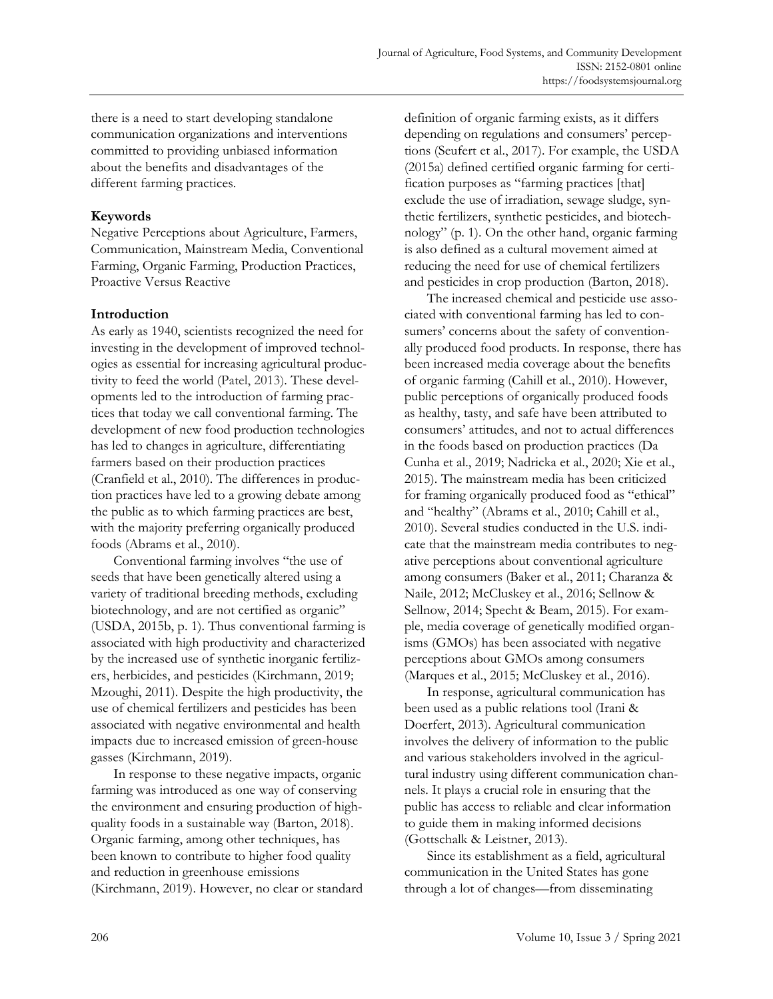there is a need to start developing standalone communication organizations and interventions committed to providing unbiased information about the benefits and disadvantages of the different farming practices.

# **Keywords**

Negative Perceptions about Agriculture, Farmers, Communication, Mainstream Media, Conventional Farming, Organic Farming, Production Practices, Proactive Versus Reactive

# **Introduction**

As early as 1940, scientists recognized the need for investing in the development of improved technologies as essential for increasing agricultural productivity to feed the world (Patel, 2013). These developments led to the introduction of farming practices that today we call conventional farming. The development of new food production technologies has led to changes in agriculture, differentiating farmers based on their production practices (Cranfield et al., 2010). The differences in production practices have led to a growing debate among the public as to which farming practices are best, with the majority preferring organically produced foods (Abrams et al., 2010).

 Conventional farming involves "the use of seeds that have been genetically altered using a variety of traditional breeding methods, excluding biotechnology, and are not certified as organic" (USDA, 2015b, p. 1). Thus conventional farming is associated with high productivity and characterized by the increased use of synthetic inorganic fertilizers, herbicides, and pesticides (Kirchmann, 2019; Mzoughi, 2011). Despite the high productivity, the use of chemical fertilizers and pesticides has been associated with negative environmental and health impacts due to increased emission of green-house gasses (Kirchmann, 2019).

 In response to these negative impacts, organic farming was introduced as one way of conserving the environment and ensuring production of highquality foods in a sustainable way (Barton, 2018). Organic farming, among other techniques, has been known to contribute to higher food quality and reduction in greenhouse emissions (Kirchmann, 2019). However, no clear or standard definition of organic farming exists, as it differs depending on regulations and consumers' perceptions (Seufert et al., 2017). For example, the USDA (2015a) defined certified organic farming for certification purposes as "farming practices [that] exclude the use of irradiation, sewage sludge, synthetic fertilizers, synthetic pesticides, and biotechnology" (p. 1). On the other hand, organic farming is also defined as a cultural movement aimed at reducing the need for use of chemical fertilizers and pesticides in crop production (Barton, 2018).

 The increased chemical and pesticide use associated with conventional farming has led to consumers' concerns about the safety of conventionally produced food products. In response, there has been increased media coverage about the benefits of organic farming (Cahill et al., 2010). However, public perceptions of organically produced foods as healthy, tasty, and safe have been attributed to consumers' attitudes, and not to actual differences in the foods based on production practices (Da Cunha et al., 2019; Nadricka et al., 2020; Xie et al., 2015). The mainstream media has been criticized for framing organically produced food as "ethical" and "healthy" (Abrams et al., 2010; Cahill et al., 2010). Several studies conducted in the U.S. indicate that the mainstream media contributes to negative perceptions about conventional agriculture among consumers (Baker et al., 2011; Charanza & Naile, 2012; McCluskey et al., 2016; Sellnow & Sellnow, 2014; Specht & Beam, 2015). For example, media coverage of genetically modified organisms (GMOs) has been associated with negative perceptions about GMOs among consumers (Marques et al., 2015; McCluskey et al., 2016).

 In response, agricultural communication has been used as a public relations tool (Irani & Doerfert, 2013). Agricultural communication involves the delivery of information to the public and various stakeholders involved in the agricultural industry using different communication channels. It plays a crucial role in ensuring that the public has access to reliable and clear information to guide them in making informed decisions (Gottschalk & Leistner, 2013).

 Since its establishment as a field, agricultural communication in the United States has gone through a lot of changes—from disseminating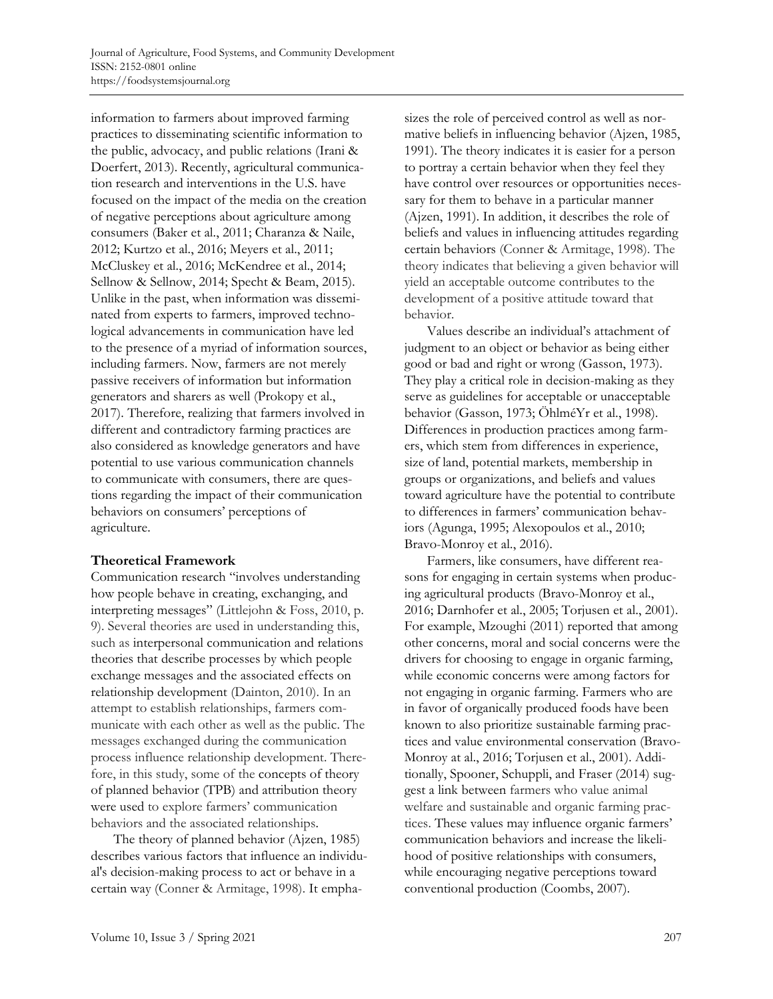information to farmers about improved farming practices to disseminating scientific information to the public, advocacy, and public relations (Irani & Doerfert, 2013). Recently, agricultural communication research and interventions in the U.S. have focused on the impact of the media on the creation of negative perceptions about agriculture among consumers (Baker et al., 2011; Charanza & Naile, 2012; Kurtzo et al., 2016; Meyers et al., 2011; McCluskey et al., 2016; McKendree et al., 2014; Sellnow & Sellnow, 2014; Specht & Beam, 2015). Unlike in the past, when information was disseminated from experts to farmers, improved technological advancements in communication have led to the presence of a myriad of information sources, including farmers. Now, farmers are not merely passive receivers of information but information generators and sharers as well (Prokopy et al., 2017). Therefore, realizing that farmers involved in different and contradictory farming practices are also considered as knowledge generators and have potential to use various communication channels to communicate with consumers, there are questions regarding the impact of their communication behaviors on consumers' perceptions of agriculture.

### **Theoretical Framework**

Communication research "involves understanding how people behave in creating, exchanging, and interpreting messages" (Littlejohn & Foss, 2010, p. 9). Several theories are used in understanding this, such as interpersonal communication and relations theories that describe processes by which people exchange messages and the associated effects on relationship development (Dainton, 2010). In an attempt to establish relationships, farmers communicate with each other as well as the public. The messages exchanged during the communication process influence relationship development. Therefore, in this study, some of the concepts of theory of planned behavior (TPB) and attribution theory were used to explore farmers' communication behaviors and the associated relationships.

 The theory of planned behavior (Ajzen, 1985) describes various factors that influence an individual's decision-making process to act or behave in a certain way (Conner & Armitage, 1998). It emphasizes the role of perceived control as well as normative beliefs in influencing behavior (Ajzen, 1985, 1991). The theory indicates it is easier for a person to portray a certain behavior when they feel they have control over resources or opportunities necessary for them to behave in a particular manner (Ajzen, 1991). In addition, it describes the role of beliefs and values in influencing attitudes regarding certain behaviors (Conner & Armitage, 1998). The theory indicates that believing a given behavior will yield an acceptable outcome contributes to the development of a positive attitude toward that behavior.

 Values describe an individual's attachment of judgment to an object or behavior as being either good or bad and right or wrong (Gasson, 1973). They play a critical role in decision-making as they serve as guidelines for acceptable or unacceptable behavior (Gasson, 1973; ÖhlméYr et al., 1998). Differences in production practices among farmers, which stem from differences in experience, size of land, potential markets, membership in groups or organizations, and beliefs and values toward agriculture have the potential to contribute to differences in farmers' communication behaviors (Agunga, 1995; Alexopoulos et al., 2010; Bravo-Monroy et al., 2016).

 Farmers, like consumers, have different reasons for engaging in certain systems when producing agricultural products (Bravo-Monroy et al., 2016; Darnhofer et al., 2005; Torjusen et al., 2001). For example, Mzoughi (2011) reported that among other concerns, moral and social concerns were the drivers for choosing to engage in organic farming, while economic concerns were among factors for not engaging in organic farming. Farmers who are in favor of organically produced foods have been known to also prioritize sustainable farming practices and value environmental conservation (Bravo-Monroy at al., 2016; Torjusen et al., 2001). Additionally, Spooner, Schuppli, and Fraser (2014) suggest a link between farmers who value animal welfare and sustainable and organic farming practices. These values may influence organic farmers' communication behaviors and increase the likelihood of positive relationships with consumers, while encouraging negative perceptions toward conventional production (Coombs, 2007).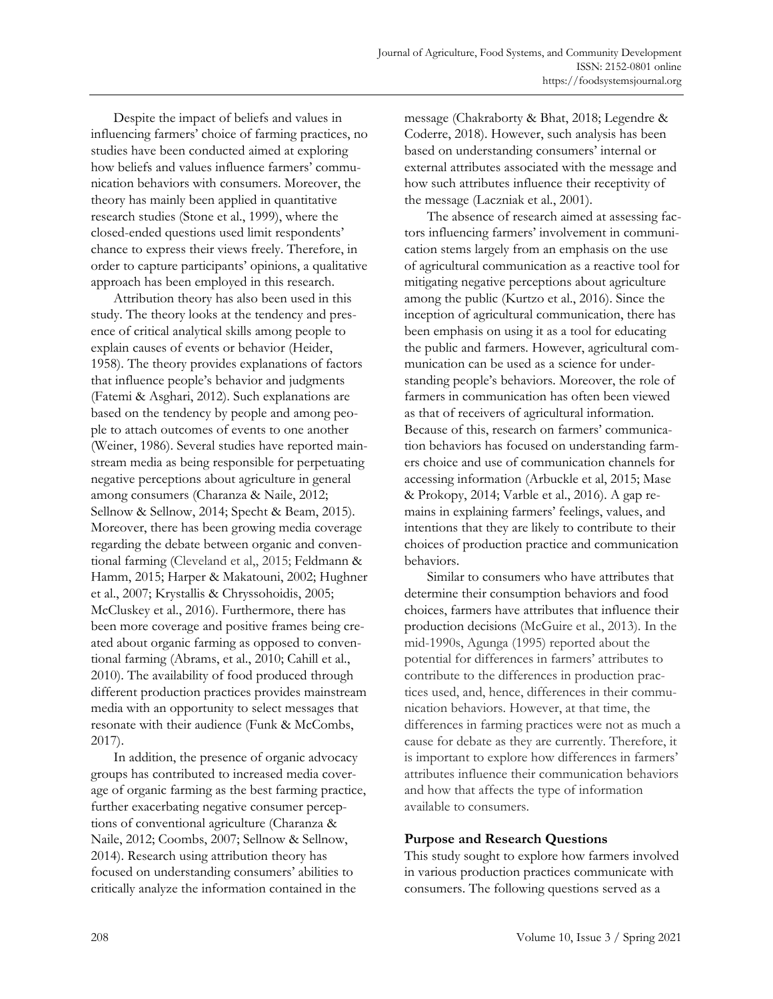Despite the impact of beliefs and values in influencing farmers' choice of farming practices, no studies have been conducted aimed at exploring how beliefs and values influence farmers' communication behaviors with consumers. Moreover, the theory has mainly been applied in quantitative research studies (Stone et al., 1999), where the closed-ended questions used limit respondents' chance to express their views freely. Therefore, in order to capture participants' opinions, a qualitative approach has been employed in this research.

 Attribution theory has also been used in this study. The theory looks at the tendency and presence of critical analytical skills among people to explain causes of events or behavior (Heider, 1958). The theory provides explanations of factors that influence people's behavior and judgments (Fatemi & Asghari, 2012). Such explanations are based on the tendency by people and among people to attach outcomes of events to one another (Weiner, 1986). Several studies have reported mainstream media as being responsible for perpetuating negative perceptions about agriculture in general among consumers (Charanza & Naile, 2012; Sellnow & Sellnow, 2014; Specht & Beam, 2015). Moreover, there has been growing media coverage regarding the debate between organic and conventional farming (Cleveland et al,, 2015; Feldmann & Hamm, 2015; Harper & Makatouni, 2002; Hughner et al., 2007; Krystallis & Chryssohoidis, 2005; McCluskey et al., 2016). Furthermore, there has been more coverage and positive frames being created about organic farming as opposed to conventional farming (Abrams, et al., 2010; Cahill et al., 2010). The availability of food produced through different production practices provides mainstream media with an opportunity to select messages that resonate with their audience (Funk & McCombs, 2017).

 In addition, the presence of organic advocacy groups has contributed to increased media coverage of organic farming as the best farming practice, further exacerbating negative consumer perceptions of conventional agriculture (Charanza & Naile, 2012; Coombs, 2007; Sellnow & Sellnow, 2014). Research using attribution theory has focused on understanding consumers' abilities to critically analyze the information contained in the

message (Chakraborty & Bhat, 2018; Legendre & Coderre, 2018). However, such analysis has been based on understanding consumers' internal or external attributes associated with the message and how such attributes influence their receptivity of the message (Laczniak et al., 2001).

 The absence of research aimed at assessing factors influencing farmers' involvement in communication stems largely from an emphasis on the use of agricultural communication as a reactive tool for mitigating negative perceptions about agriculture among the public (Kurtzo et al., 2016). Since the inception of agricultural communication, there has been emphasis on using it as a tool for educating the public and farmers. However, agricultural communication can be used as a science for understanding people's behaviors. Moreover, the role of farmers in communication has often been viewed as that of receivers of agricultural information. Because of this, research on farmers' communication behaviors has focused on understanding farmers choice and use of communication channels for accessing information (Arbuckle et al, 2015; Mase & Prokopy, 2014; Varble et al., 2016). A gap remains in explaining farmers' feelings, values, and intentions that they are likely to contribute to their choices of production practice and communication behaviors.

 Similar to consumers who have attributes that determine their consumption behaviors and food choices, farmers have attributes that influence their production decisions (McGuire et al., 2013). In the mid-1990s, Agunga (1995) reported about the potential for differences in farmers' attributes to contribute to the differences in production practices used, and, hence, differences in their communication behaviors. However, at that time, the differences in farming practices were not as much a cause for debate as they are currently. Therefore, it is important to explore how differences in farmers' attributes influence their communication behaviors and how that affects the type of information available to consumers.

### **Purpose and Research Questions**

This study sought to explore how farmers involved in various production practices communicate with consumers. The following questions served as a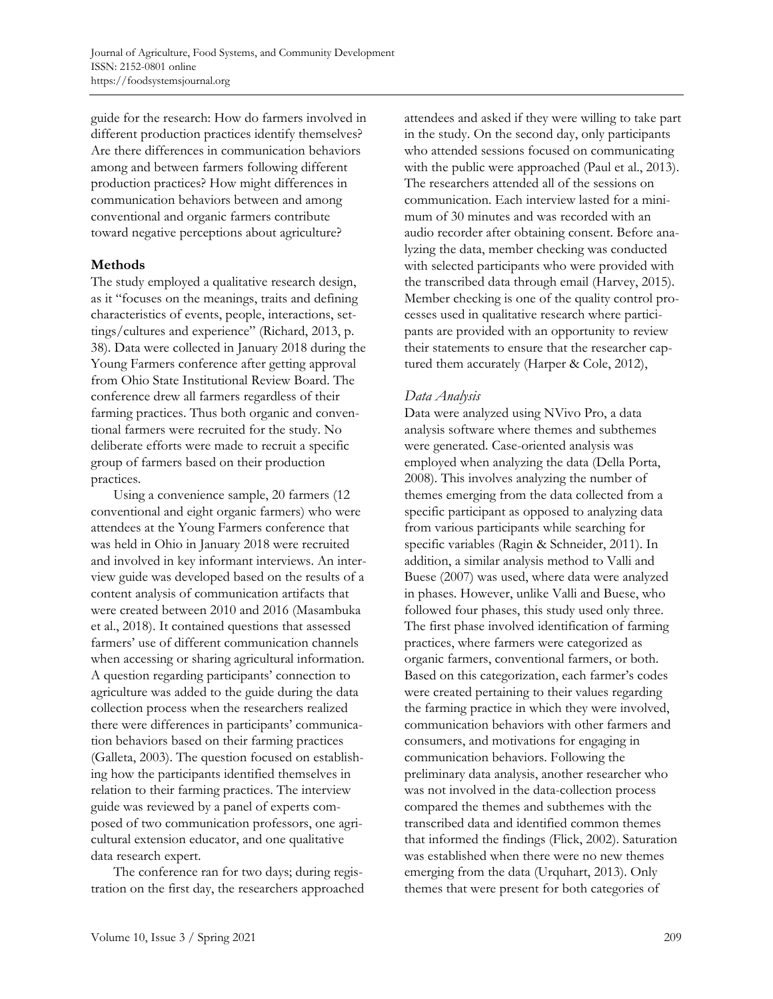guide for the research: How do farmers involved in different production practices identify themselves? Are there differences in communication behaviors among and between farmers following different production practices? How might differences in communication behaviors between and among conventional and organic farmers contribute toward negative perceptions about agriculture?

### **Methods**

The study employed a qualitative research design, as it "focuses on the meanings, traits and defining characteristics of events, people, interactions, settings/cultures and experience" (Richard, 2013, p. 38). Data were collected in January 2018 during the Young Farmers conference after getting approval from Ohio State Institutional Review Board. The conference drew all farmers regardless of their farming practices. Thus both organic and conventional farmers were recruited for the study. No deliberate efforts were made to recruit a specific group of farmers based on their production practices.

 Using a convenience sample, 20 farmers (12 conventional and eight organic farmers) who were attendees at the Young Farmers conference that was held in Ohio in January 2018 were recruited and involved in key informant interviews. An interview guide was developed based on the results of a content analysis of communication artifacts that were created between 2010 and 2016 (Masambuka et al., 2018). It contained questions that assessed farmers' use of different communication channels when accessing or sharing agricultural information. A question regarding participants' connection to agriculture was added to the guide during the data collection process when the researchers realized there were differences in participants' communication behaviors based on their farming practices (Galleta, 2003). The question focused on establishing how the participants identified themselves in relation to their farming practices. The interview guide was reviewed by a panel of experts composed of two communication professors, one agricultural extension educator, and one qualitative data research expert.

 The conference ran for two days; during registration on the first day, the researchers approached attendees and asked if they were willing to take part in the study. On the second day, only participants who attended sessions focused on communicating with the public were approached (Paul et al., 2013). The researchers attended all of the sessions on communication. Each interview lasted for a minimum of 30 minutes and was recorded with an audio recorder after obtaining consent. Before analyzing the data, member checking was conducted with selected participants who were provided with the transcribed data through email (Harvey, 2015). Member checking is one of the quality control processes used in qualitative research where participants are provided with an opportunity to review their statements to ensure that the researcher captured them accurately (Harper & Cole, 2012),

# *Data Analysis*

Data were analyzed using NVivo Pro, a data analysis software where themes and subthemes were generated. Case-oriented analysis was employed when analyzing the data (Della Porta, 2008). This involves analyzing the number of themes emerging from the data collected from a specific participant as opposed to analyzing data from various participants while searching for specific variables (Ragin & Schneider, 2011). In addition, a similar analysis method to Valli and Buese (2007) was used, where data were analyzed in phases. However, unlike Valli and Buese, who followed four phases, this study used only three. The first phase involved identification of farming practices, where farmers were categorized as organic farmers, conventional farmers, or both. Based on this categorization, each farmer's codes were created pertaining to their values regarding the farming practice in which they were involved, communication behaviors with other farmers and consumers, and motivations for engaging in communication behaviors. Following the preliminary data analysis, another researcher who was not involved in the data-collection process compared the themes and subthemes with the transcribed data and identified common themes that informed the findings (Flick, 2002). Saturation was established when there were no new themes emerging from the data (Urquhart, 2013). Only themes that were present for both categories of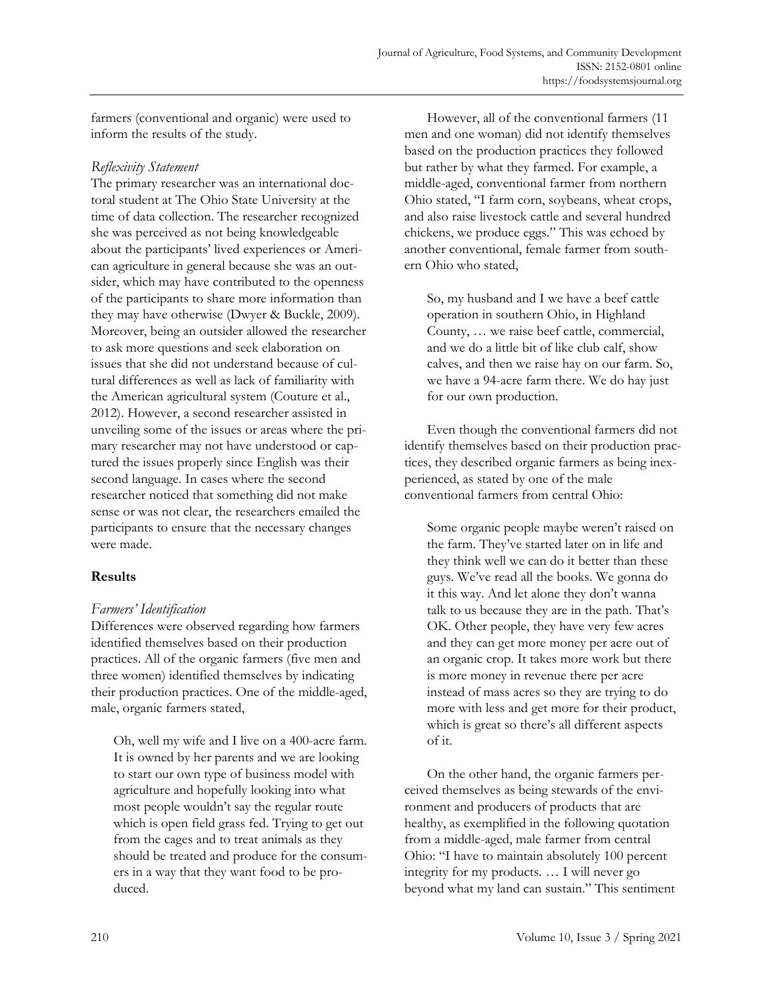farmers (conventional and organic) were used to inform the results of the study.

## *Reflexivity Statement*

The primary researcher was an international doctoral student at The Ohio State University at the time of data collection. The researcher recognized she was perceived as not being knowledgeable about the participants' lived experiences or American agriculture in general because she was an outsider, which may have contributed to the openness of the participants to share more information than they may have otherwise (Dwyer & Buckle, 2009). Moreover, being an outsider allowed the researcher to ask more questions and seek elaboration on issues that she did not understand because of cultural differences as well as lack of familiarity with the American agricultural system (Couture et al., 2012). However, a second researcher assisted in unveiling some of the issues or areas where the primary researcher may not have understood or captured the issues properly since English was their second language. In cases where the second researcher noticed that something did not make sense or was not clear, the researchers emailed the participants to ensure that the necessary changes were made.

# **Results**

# *Farmers' Identification*

Differences were observed regarding how farmers identified themselves based on their production practices. All of the organic farmers (five men and three women) identified themselves by indicating their production practices. One of the middle-aged, male, organic farmers stated,

Oh, well my wife and I live on a 400-acre farm. It is owned by her parents and we are looking to start our own type of business model with agriculture and hopefully looking into what most people wouldn't say the regular route which is open field grass fed. Trying to get out from the cages and to treat animals as they should be treated and produce for the consumers in a way that they want food to be produced.

 However, all of the conventional farmers (11 men and one woman) did not identify themselves based on the production practices they followed but rather by what they farmed. For example, a middle-aged, conventional farmer from northern Ohio stated, "I farm corn, soybeans, wheat crops, and also raise livestock cattle and several hundred chickens, we produce eggs." This was echoed by another conventional, female farmer from southern Ohio who stated,

So, my husband and I we have a beef cattle operation in southern Ohio, in Highland County, … we raise beef cattle, commercial, and we do a little bit of like club calf, show calves, and then we raise hay on our farm. So, we have a 94-acre farm there. We do hay just for our own production.

 Even though the conventional farmers did not identify themselves based on their production practices, they described organic farmers as being inexperienced, as stated by one of the male conventional farmers from central Ohio:

Some organic people maybe weren't raised on the farm. They've started later on in life and they think well we can do it better than these guys. We've read all the books. We gonna do it this way. And let alone they don't wanna talk to us because they are in the path. That's OK. Other people, they have very few acres and they can get more money per acre out of an organic crop. It takes more work but there is more money in revenue there per acre instead of mass acres so they are trying to do more with less and get more for their product, which is great so there's all different aspects of it.

 On the other hand, the organic farmers perceived themselves as being stewards of the environment and producers of products that are healthy, as exemplified in the following quotation from a middle-aged, male farmer from central Ohio: "I have to maintain absolutely 100 percent integrity for my products. … I will never go beyond what my land can sustain." This sentiment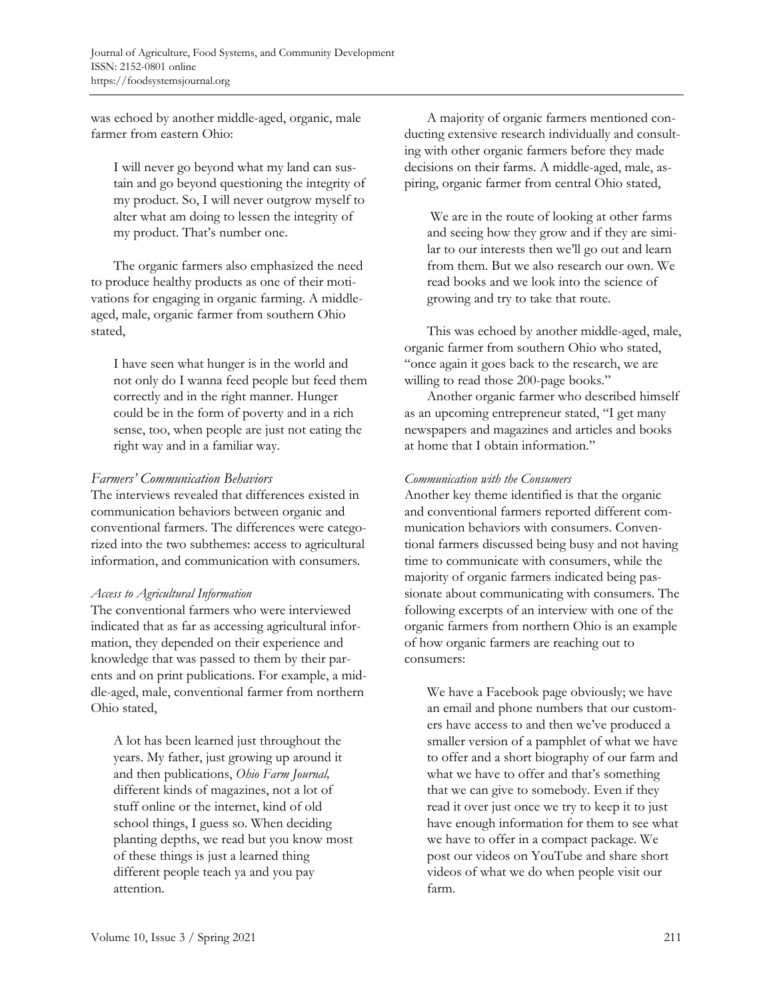was echoed by another middle-aged, organic, male farmer from eastern Ohio:

I will never go beyond what my land can sustain and go beyond questioning the integrity of my product. So, I will never outgrow myself to alter what am doing to lessen the integrity of my product. That's number one.

 The organic farmers also emphasized the need to produce healthy products as one of their motivations for engaging in organic farming. A middleaged, male, organic farmer from southern Ohio stated,

I have seen what hunger is in the world and not only do I wanna feed people but feed them correctly and in the right manner. Hunger could be in the form of poverty and in a rich sense, too, when people are just not eating the right way and in a familiar way.

# *Farmers' Communication Behaviors*

The interviews revealed that differences existed in communication behaviors between organic and conventional farmers. The differences were categorized into the two subthemes: access to agricultural information, and communication with consumers*.* 

### *Access to Agricultural Information*

The conventional farmers who were interviewed indicated that as far as accessing agricultural information, they depended on their experience and knowledge that was passed to them by their parents and on print publications. For example, a middle-aged, male, conventional farmer from northern Ohio stated,

A lot has been learned just throughout the years. My father, just growing up around it and then publications, *Ohio Farm Journal,*  different kinds of magazines, not a lot of stuff online or the internet, kind of old school things, I guess so. When deciding planting depths, we read but you know most of these things is just a learned thing different people teach ya and you pay attention.

 A majority of organic farmers mentioned conducting extensive research individually and consulting with other organic farmers before they made decisions on their farms. A middle-aged, male, aspiring, organic farmer from central Ohio stated,

 We are in the route of looking at other farms and seeing how they grow and if they are similar to our interests then we'll go out and learn from them. But we also research our own. We read books and we look into the science of growing and try to take that route.

 This was echoed by another middle-aged, male, organic farmer from southern Ohio who stated, "once again it goes back to the research, we are willing to read those 200-page books."

 Another organic farmer who described himself as an upcoming entrepreneur stated, "I get many newspapers and magazines and articles and books at home that I obtain information."

## *Communication with the Consumers*

Another key theme identified is that the organic and conventional farmers reported different communication behaviors with consumers. Conventional farmers discussed being busy and not having time to communicate with consumers, while the majority of organic farmers indicated being passionate about communicating with consumers. The following excerpts of an interview with one of the organic farmers from northern Ohio is an example of how organic farmers are reaching out to consumers:

We have a Facebook page obviously; we have an email and phone numbers that our customers have access to and then we've produced a smaller version of a pamphlet of what we have to offer and a short biography of our farm and what we have to offer and that's something that we can give to somebody. Even if they read it over just once we try to keep it to just have enough information for them to see what we have to offer in a compact package. We post our videos on YouTube and share short videos of what we do when people visit our farm.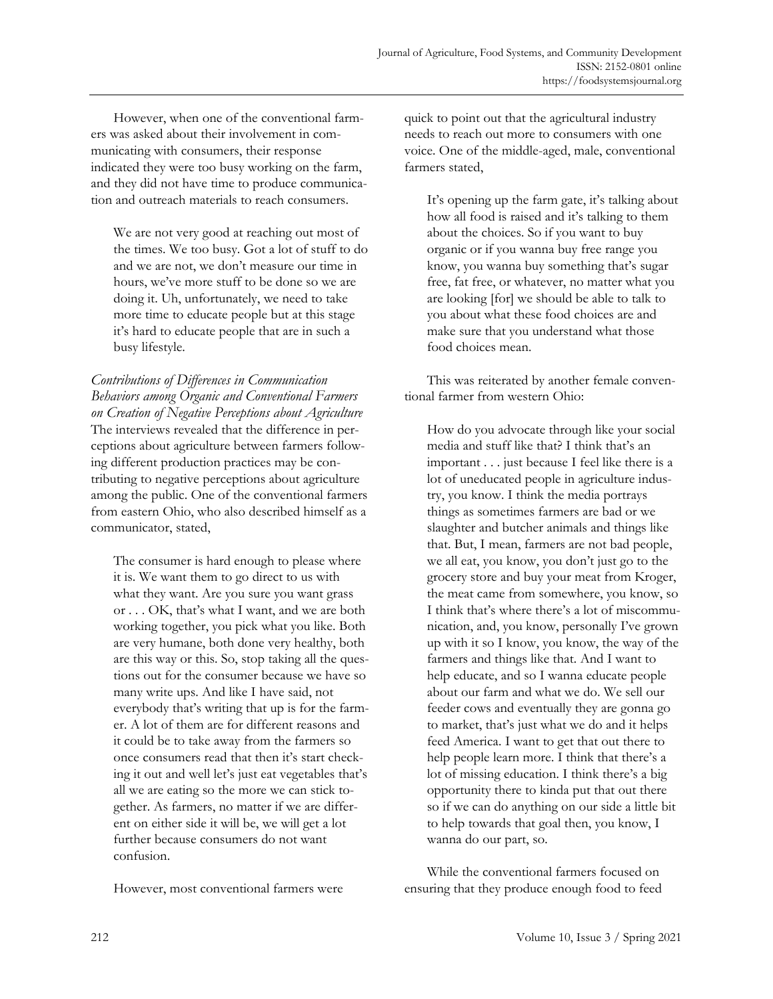However, when one of the conventional farmers was asked about their involvement in communicating with consumers, their response indicated they were too busy working on the farm, and they did not have time to produce communication and outreach materials to reach consumers.

We are not very good at reaching out most of the times. We too busy. Got a lot of stuff to do and we are not, we don't measure our time in hours, we've more stuff to be done so we are doing it. Uh, unfortunately, we need to take more time to educate people but at this stage it's hard to educate people that are in such a busy lifestyle.

*Contributions of Differences in Communication Behaviors among Organic and Conventional Farmers on Creation of Negative Perceptions about Agriculture*  The interviews revealed that the difference in perceptions about agriculture between farmers following different production practices may be contributing to negative perceptions about agriculture among the public. One of the conventional farmers from eastern Ohio, who also described himself as a communicator, stated,

The consumer is hard enough to please where it is. We want them to go direct to us with what they want. Are you sure you want grass or . . . OK, that's what I want, and we are both working together, you pick what you like. Both are very humane, both done very healthy, both are this way or this. So, stop taking all the questions out for the consumer because we have so many write ups. And like I have said, not everybody that's writing that up is for the farmer. A lot of them are for different reasons and it could be to take away from the farmers so once consumers read that then it's start checking it out and well let's just eat vegetables that's all we are eating so the more we can stick together. As farmers, no matter if we are different on either side it will be, we will get a lot further because consumers do not want confusion.

However, most conventional farmers were

quick to point out that the agricultural industry needs to reach out more to consumers with one voice. One of the middle-aged, male, conventional farmers stated,

It's opening up the farm gate, it's talking about how all food is raised and it's talking to them about the choices. So if you want to buy organic or if you wanna buy free range you know, you wanna buy something that's sugar free, fat free, or whatever, no matter what you are looking [for] we should be able to talk to you about what these food choices are and make sure that you understand what those food choices mean.

 This was reiterated by another female conventional farmer from western Ohio:

How do you advocate through like your social media and stuff like that? I think that's an important . . . just because I feel like there is a lot of uneducated people in agriculture industry, you know. I think the media portrays things as sometimes farmers are bad or we slaughter and butcher animals and things like that. But, I mean, farmers are not bad people, we all eat, you know, you don't just go to the grocery store and buy your meat from Kroger, the meat came from somewhere, you know, so I think that's where there's a lot of miscommunication, and, you know, personally I've grown up with it so I know, you know, the way of the farmers and things like that. And I want to help educate, and so I wanna educate people about our farm and what we do. We sell our feeder cows and eventually they are gonna go to market, that's just what we do and it helps feed America. I want to get that out there to help people learn more. I think that there's a lot of missing education. I think there's a big opportunity there to kinda put that out there so if we can do anything on our side a little bit to help towards that goal then, you know, I wanna do our part, so.

 While the conventional farmers focused on ensuring that they produce enough food to feed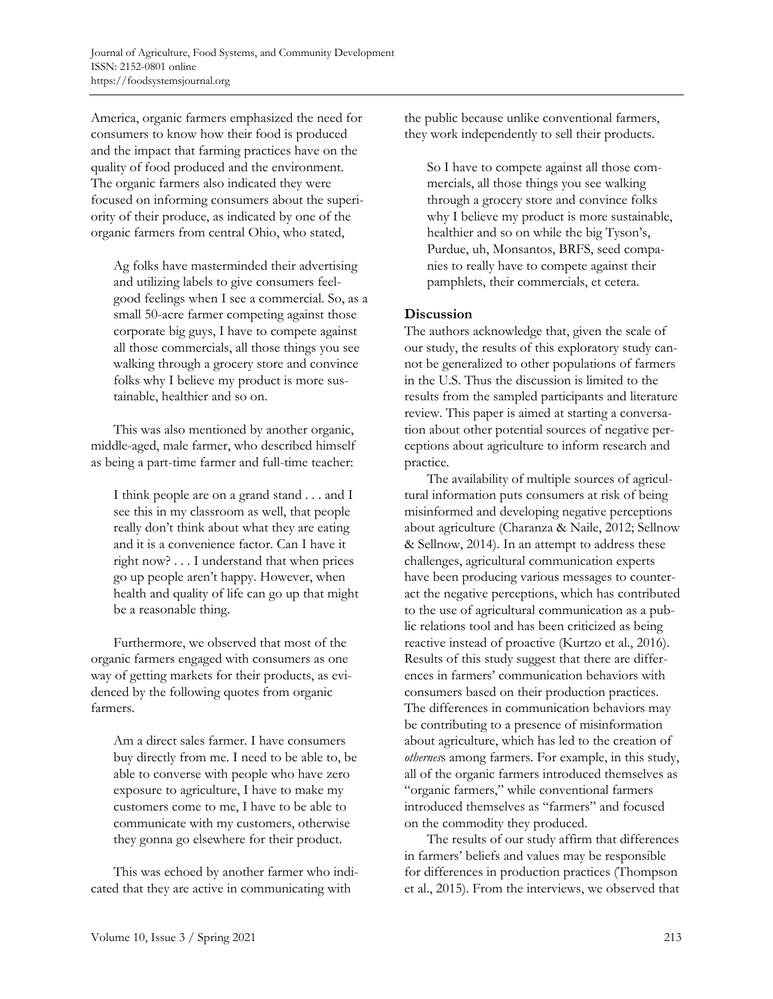America, organic farmers emphasized the need for consumers to know how their food is produced and the impact that farming practices have on the quality of food produced and the environment. The organic farmers also indicated they were focused on informing consumers about the superiority of their produce, as indicated by one of the organic farmers from central Ohio, who stated,

Ag folks have masterminded their advertising and utilizing labels to give consumers feelgood feelings when I see a commercial. So, as a small 50-acre farmer competing against those corporate big guys, I have to compete against all those commercials, all those things you see walking through a grocery store and convince folks why I believe my product is more sustainable, healthier and so on.

 This was also mentioned by another organic, middle-aged, male farmer, who described himself as being a part-time farmer and full-time teacher:

I think people are on a grand stand . . . and I see this in my classroom as well, that people really don't think about what they are eating and it is a convenience factor. Can I have it right now? . . . I understand that when prices go up people aren't happy. However, when health and quality of life can go up that might be a reasonable thing.

 Furthermore, we observed that most of the organic farmers engaged with consumers as one way of getting markets for their products, as evidenced by the following quotes from organic farmers.

Am a direct sales farmer. I have consumers buy directly from me. I need to be able to, be able to converse with people who have zero exposure to agriculture, I have to make my customers come to me, I have to be able to communicate with my customers, otherwise they gonna go elsewhere for their product.

 This was echoed by another farmer who indicated that they are active in communicating with

the public because unlike conventional farmers, they work independently to sell their products.

So I have to compete against all those commercials, all those things you see walking through a grocery store and convince folks why I believe my product is more sustainable, healthier and so on while the big Tyson's, Purdue, uh, Monsantos, BRFS, seed companies to really have to compete against their pamphlets, their commercials, et cetera.

### **Discussion**

The authors acknowledge that, given the scale of our study, the results of this exploratory study cannot be generalized to other populations of farmers in the U.S. Thus the discussion is limited to the results from the sampled participants and literature review. This paper is aimed at starting a conversation about other potential sources of negative perceptions about agriculture to inform research and practice.

 The availability of multiple sources of agricultural information puts consumers at risk of being misinformed and developing negative perceptions about agriculture (Charanza & Naile, 2012; Sellnow & Sellnow, 2014). In an attempt to address these challenges, agricultural communication experts have been producing various messages to counteract the negative perceptions, which has contributed to the use of agricultural communication as a public relations tool and has been criticized as being reactive instead of proactive (Kurtzo et al., 2016). Results of this study suggest that there are differences in farmers' communication behaviors with consumers based on their production practices. The differences in communication behaviors may be contributing to a presence of misinformation about agriculture, which has led to the creation of *othernes*s among farmers. For example, in this study, all of the organic farmers introduced themselves as "organic farmers," while conventional farmers introduced themselves as "farmers" and focused on the commodity they produced.

 The results of our study affirm that differences in farmers' beliefs and values may be responsible for differences in production practices (Thompson et al., 2015). From the interviews, we observed that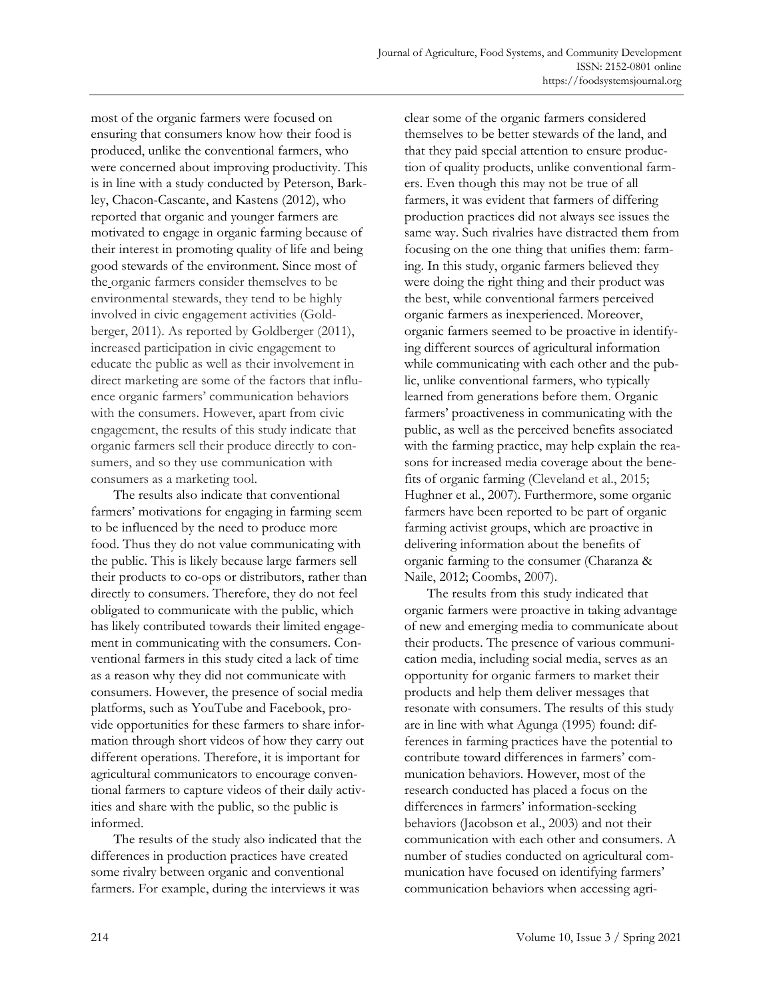most of the organic farmers were focused on ensuring that consumers know how their food is produced, unlike the conventional farmers, who were concerned about improving productivity. This is in line with a study conducted by Peterson, Barkley, Chacon-Cascante, and Kastens (2012), who reported that organic and younger farmers are motivated to engage in organic farming because of their interest in promoting quality of life and being good stewards of the environment. Since most of the organic farmers consider themselves to be environmental stewards, they tend to be highly involved in civic engagement activities (Goldberger, 2011). As reported by Goldberger (2011), increased participation in civic engagement to educate the public as well as their involvement in direct marketing are some of the factors that influence organic farmers' communication behaviors with the consumers. However, apart from civic engagement, the results of this study indicate that organic farmers sell their produce directly to consumers, and so they use communication with consumers as a marketing tool.

 The results also indicate that conventional farmers' motivations for engaging in farming seem to be influenced by the need to produce more food. Thus they do not value communicating with the public. This is likely because large farmers sell their products to co-ops or distributors, rather than directly to consumers. Therefore, they do not feel obligated to communicate with the public, which has likely contributed towards their limited engagement in communicating with the consumers. Conventional farmers in this study cited a lack of time as a reason why they did not communicate with consumers. However, the presence of social media platforms, such as YouTube and Facebook, provide opportunities for these farmers to share information through short videos of how they carry out different operations. Therefore, it is important for agricultural communicators to encourage conventional farmers to capture videos of their daily activities and share with the public, so the public is informed.

 The results of the study also indicated that the differences in production practices have created some rivalry between organic and conventional farmers. For example, during the interviews it was

clear some of the organic farmers considered themselves to be better stewards of the land, and that they paid special attention to ensure production of quality products, unlike conventional farmers. Even though this may not be true of all farmers, it was evident that farmers of differing production practices did not always see issues the same way. Such rivalries have distracted them from focusing on the one thing that unifies them: farming. In this study, organic farmers believed they were doing the right thing and their product was the best, while conventional farmers perceived organic farmers as inexperienced. Moreover, organic farmers seemed to be proactive in identifying different sources of agricultural information while communicating with each other and the public, unlike conventional farmers, who typically learned from generations before them. Organic farmers' proactiveness in communicating with the public, as well as the perceived benefits associated with the farming practice, may help explain the reasons for increased media coverage about the benefits of organic farming (Cleveland et al., 2015; Hughner et al., 2007). Furthermore, some organic farmers have been reported to be part of organic farming activist groups, which are proactive in delivering information about the benefits of organic farming to the consumer (Charanza & Naile, 2012; Coombs, 2007).

 The results from this study indicated that organic farmers were proactive in taking advantage of new and emerging media to communicate about their products. The presence of various communication media, including social media, serves as an opportunity for organic farmers to market their products and help them deliver messages that resonate with consumers. The results of this study are in line with what Agunga (1995) found: differences in farming practices have the potential to contribute toward differences in farmers' communication behaviors. However, most of the research conducted has placed a focus on the differences in farmers' information-seeking behaviors (Jacobson et al., 2003) and not their communication with each other and consumers. A number of studies conducted on agricultural communication have focused on identifying farmers' communication behaviors when accessing agri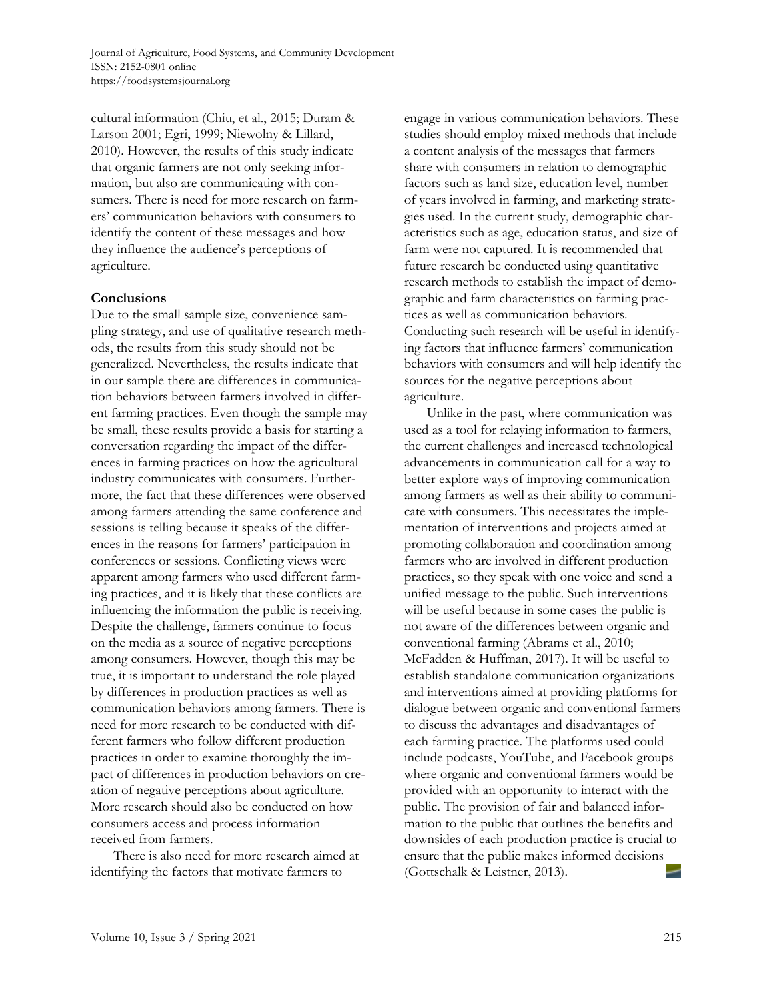cultural information (Chiu, et al., 2015; Duram & Larson 2001; Egri, 1999; Niewolny & Lillard, 2010). However, the results of this study indicate that organic farmers are not only seeking information, but also are communicating with consumers. There is need for more research on farmers' communication behaviors with consumers to identify the content of these messages and how they influence the audience's perceptions of agriculture.

#### **Conclusions**

Due to the small sample size, convenience sampling strategy, and use of qualitative research methods, the results from this study should not be generalized. Nevertheless, the results indicate that in our sample there are differences in communication behaviors between farmers involved in different farming practices. Even though the sample may be small, these results provide a basis for starting a conversation regarding the impact of the differences in farming practices on how the agricultural industry communicates with consumers. Furthermore, the fact that these differences were observed among farmers attending the same conference and sessions is telling because it speaks of the differences in the reasons for farmers' participation in conferences or sessions. Conflicting views were apparent among farmers who used different farming practices, and it is likely that these conflicts are influencing the information the public is receiving. Despite the challenge, farmers continue to focus on the media as a source of negative perceptions among consumers. However, though this may be true, it is important to understand the role played by differences in production practices as well as communication behaviors among farmers. There is need for more research to be conducted with different farmers who follow different production practices in order to examine thoroughly the impact of differences in production behaviors on creation of negative perceptions about agriculture. More research should also be conducted on how consumers access and process information received from farmers.

 There is also need for more research aimed at identifying the factors that motivate farmers to

engage in various communication behaviors. These studies should employ mixed methods that include a content analysis of the messages that farmers share with consumers in relation to demographic factors such as land size, education level, number of years involved in farming, and marketing strategies used. In the current study, demographic characteristics such as age, education status, and size of farm were not captured. It is recommended that future research be conducted using quantitative research methods to establish the impact of demographic and farm characteristics on farming practices as well as communication behaviors. Conducting such research will be useful in identifying factors that influence farmers' communication behaviors with consumers and will help identify the sources for the negative perceptions about agriculture.

 Unlike in the past, where communication was used as a tool for relaying information to farmers, the current challenges and increased technological advancements in communication call for a way to better explore ways of improving communication among farmers as well as their ability to communicate with consumers. This necessitates the implementation of interventions and projects aimed at promoting collaboration and coordination among farmers who are involved in different production practices, so they speak with one voice and send a unified message to the public. Such interventions will be useful because in some cases the public is not aware of the differences between organic and conventional farming (Abrams et al., 2010; McFadden & Huffman, 2017). It will be useful to establish standalone communication organizations and interventions aimed at providing platforms for dialogue between organic and conventional farmers to discuss the advantages and disadvantages of each farming practice. The platforms used could include podcasts, YouTube, and Facebook groups where organic and conventional farmers would be provided with an opportunity to interact with the public. The provision of fair and balanced information to the public that outlines the benefits and downsides of each production practice is crucial to ensure that the public makes informed decisions (Gottschalk & Leistner, 2013).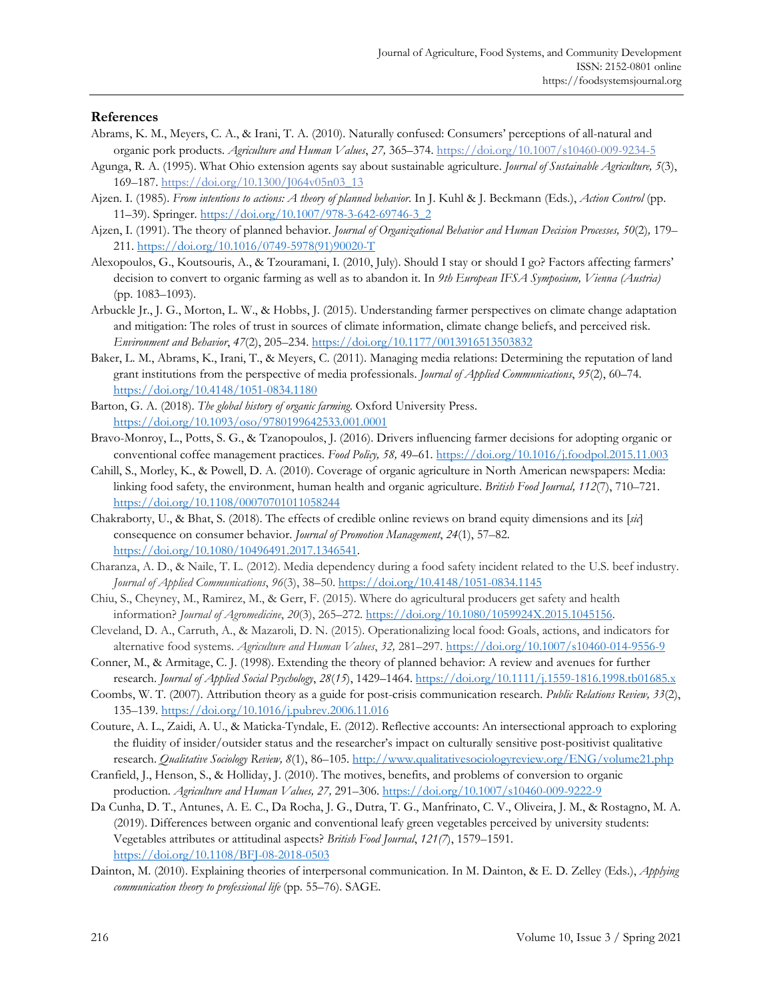#### **References**

- Abrams, K. M., Meyers, C. A., & Irani, T. A. (2010). Naturally confused: Consumers' perceptions of all-natural and organic pork products. *Agriculture and Human Values*, *27,* 365–374.<https://doi.org/10.1007/s10460-009-9234-5>
- Agunga, R. A. (1995). What Ohio extension agents say about sustainable agriculture. *Journal of Sustainable Agriculture, 5*(3), 169–187. [https://doi.org/10.1300/J064v05n03\\_13](https://doi.org/10.1300/J064v05n03_13)
- Ajzen. I. (1985). *From intentions to actions: A theory of planned behavior*. In J. Kuhl & J. Beckmann (Eds.), *Action Control* (pp. 11–39)*.* Springer[. https://doi.org/10.1007/978-3-642-69746-3\\_2](https://doi.org/10.1007/978-3-642-69746-3_2)
- Ajzen, I. (1991). The theory of planned behavior. *Journal of Organizational Behavior and Human Decision Processes, 50*(2)*,* 179– 211[. https://doi.org/10.1016/0749-5978\(91\)90020-T](https://doi.org/10.1016/0749-5978(91)90020-T)
- Alexopoulos, G., Koutsouris, A., & Tzouramani, I. (2010, July). Should I stay or should I go? Factors affecting farmers' decision to convert to organic farming as well as to abandon it. In *9th European IFSA Symposium, Vienna (Austria)* (pp. 1083–1093).
- Arbuckle Jr., J. G., Morton, L. W., & Hobbs, J. (2015). Understanding farmer perspectives on climate change adaptation and mitigation: The roles of trust in sources of climate information, climate change beliefs, and perceived risk. *Environment and Behavior*, *47*(2), 205–234.<https://doi.org/10.1177/0013916513503832>
- Baker, L. M., Abrams, K., Irani, T., & Meyers, C. (2011). Managing media relations: Determining the reputation of land grant institutions from the perspective of media professionals. *Journal of Applied Communications*, *95*(2), 60–74. <https://doi.org/10.4148/1051-0834.1180>
- Barton, G. A. (2018). *The global history of organic farming*. Oxford University Press. <https://doi.org/10.1093/oso/9780199642533.001.0001>
- Bravo-Monroy, L., Potts, S. G., & Tzanopoulos, J. (2016). Drivers influencing farmer decisions for adopting organic or conventional coffee management practices. *Food Policy, 58,* 49–61[. https://doi.org/10.1016/j.foodpol.2015.11.003](https://doi.org/10.1016/j.foodpol.2015.11.003)
- Cahill, S., Morley, K., & Powell, D. A. (2010). Coverage of organic agriculture in North American newspapers: Media: linking food safety, the environment, human health and organic agriculture. *British Food Journal, 112*(7), 710–721. <https://doi.org/10.1108/00070701011058244>
- Chakraborty, U., & Bhat, S. (2018). The effects of credible online reviews on brand equity dimensions and its [*sic*] consequence on consumer behavior. *Journal of Promotion Management*, *24*(1), 57–82. [https://doi.org/10.1080/10496491.2017.1346541.](https://doi.org/10.1080/10496491.2017.1346541)
- Charanza, A. D., & Naile, T. L. (2012). Media dependency during a food safety incident related to the U.S. beef industry. *Journal of Applied Communications*, *96*(3), 38–50. <https://doi.org/10.4148/1051-0834.1145>
- Chiu, S., Cheyney, M., Ramirez, M., & Gerr, F. (2015). Where do agricultural producers get safety and health information? *Journal of Agromedicine*, *20*(3), 265–272. [https://doi.org/10.1080/1059924X.2015.1045156.](https://doi.org/10.1080/1059924X.2015.1045156)
- Cleveland, D. A., Carruth, A., & Mazaroli, D. N. (2015). Operationalizing local food: Goals, actions, and indicators for alternative food systems. *Agriculture and Human Values*, *32,* 281–297. <https://doi.org/10.1007/s10460-014-9556-9>
- Conner, M., & Armitage, C. J. (1998). Extending the theory of planned behavior: A review and avenues for further research. *Journal of Applied Social Psychology*, *28*(*15*), 1429–1464.<https://doi.org/10.1111/j.1559-1816.1998.tb01685.x>
- Coombs, W. T. (2007). Attribution theory as a guide for post-crisis communication research. *Public Relations Review, 33*(2), 135–139.<https://doi.org/10.1016/j.pubrev.2006.11.016>
- Couture, A. L., Zaidi, A. U., & Maticka-Tyndale, E. (2012). Reflective accounts: An intersectional approach to exploring the fluidity of insider/outsider status and the researcher's impact on culturally sensitive post-positivist qualitative research. *Qualitative Sociology Review, 8*(1), 86–105. [http://www.qualitativesociologyreview.org/ENG/volume21.php](http://www.qualitativesociologyreview.org/ENG/index_eng.php)
- Cranfield, J., Henson, S., & Holliday, J. (2010). The motives, benefits, and problems of conversion to organic production. *Agriculture and Human Values, 27,* 291–306.<https://doi.org/10.1007/s10460-009-9222-9>
- Da Cunha, D. T., Antunes, A. E. C., Da Rocha, J. G., Dutra, T. G., Manfrinato, C. V., Oliveira, J. M., & Rostagno, M. A. (2019). Differences between organic and conventional leafy green vegetables perceived by university students: Vegetables attributes or attitudinal aspects? *British Food Journal*, *121(7*), 1579–1591. <https://doi.org/10.1108/BFJ-08-2018-0503>
- Dainton, M. (2010). Explaining theories of interpersonal communication. In M. Dainton, & E. D. Zelley (Eds.), *Applying communication theory to professional life* (pp. 55–76). SAGE.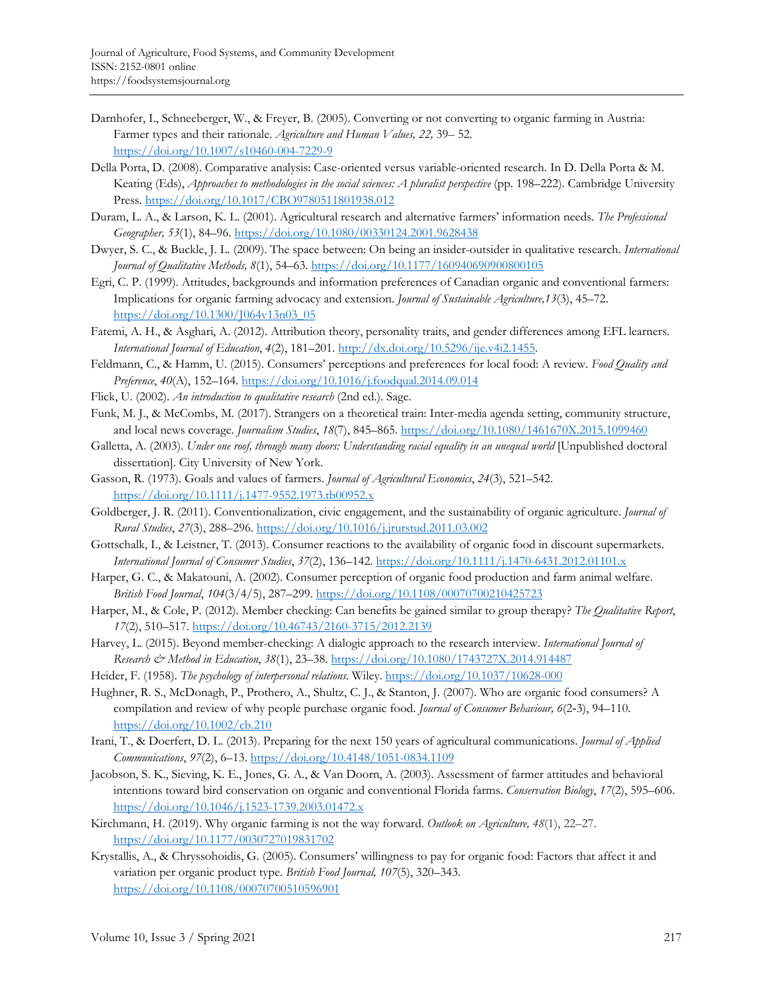- Darnhofer, I., Schneeberger, W., & Freyer, B. (2005). Converting or not converting to organic farming in Austria: Farmer types and their rationale. *Agriculture and Human Values, 22,* 39– 52. <https://doi.org/10.1007/s10460-004-7229-9>
- Della Porta, D. (2008). Comparative analysis: Case-oriented versus variable-oriented research. In D. Della Porta & M. Keating (Eds), *Approaches to methodologies in the social sciences: A pluralist perspective* (pp. 198–222). Cambridge University Press.<https://doi.org/10.1017/CBO9780511801938.012>
- Duram, L. A., & Larson, K. L. (2001). Agricultural research and alternative farmers' information needs. *The Professional Geographer, 53*(1), 84–96[. https://doi.org/10.1080/00330124.2001.9628438](https://doi.org/10.1080/00330124.2001.9628438)
- Dwyer, S. C., & Buckle, J. L. (2009). The space between: On being an insider-outsider in qualitative research. *International Journal of Qualitative Methods, 8*(1), 54–63[. https://doi.org/10.1177/160940690900800105](https://doi.org/10.1177%2F160940690900800105)
- Egri, C. P. (1999). Attitudes, backgrounds and information preferences of Canadian organic and conventional farmers: Implications for organic farming advocacy and extension. *Journal of Sustainable Agriculture,13*(3), 45–72. [https://doi.org/10.1300/J064v13n03\\_05](https://doi.org/10.1300/J064v13n03_05)
- Fatemi, A. H., & Asghari, A. (2012). Attribution theory, personality traits, and gender differences among EFL learners. *International Journal of Education*, *4*(2), 181–201. [http://dx.doi.org/10.5296/ije.v4i2.1455.](http://dx.doi.org/10.5296/ije.v4i2.1455)
- Feldmann, C., & Hamm, U. (2015). Consumers' perceptions and preferences for local food: A review. *Food Quality and Preference*, *40*(A), 152–164.<https://doi.org/10.1016/j.foodqual.2014.09.014>
- Flick, U. (2002). *An introduction to qualitative research* (2nd ed.). Sage.
- Funk, M. J., & McCombs, M. (2017). Strangers on a theoretical train: Inter-media agenda setting, community structure, and local news coverage. *Journalism Studies*, *18*(7), 845–865. <https://doi.org/10.1080/1461670X.2015.1099460>
- Galletta, A. (2003). *Under one roof, through many doors: Understanding racial equality in an unequal world* [Unpublished doctoral dissertation]. City University of New York.
- Gasson, R. (1973). Goals and values of farmers. *Journal of Agricultural Economics*, *24*(3), 521–542. <https://doi.org/10.1111/j.1477-9552.1973.tb00952.x>
- Goldberger, J. R. (2011). Conventionalization, civic engagement, and the sustainability of organic agriculture. *Journal of Rural Studies*, *27*(3), 288–296.<https://doi.org/10.1016/j.jrurstud.2011.03.002>
- Gottschalk, I., & Leistner, T. (2013). Consumer reactions to the availability of organic food in discount supermarkets. *International Journal of Consumer Studies*, *37*(2), 136–142.<https://doi.org/10.1111/j.1470-6431.2012.01101.x>
- Harper, G. C., & Makatouni, A. (2002). Consumer perception of organic food production and farm animal welfare. *British Food Journal*, *104*(3/4/5), 287–299[. https://doi.org/10.1108/00070700210425723](https://doi.org/10.1108/00070700210425723)
- Harper, M., & Cole, P. (2012). Member checking: Can benefits be gained similar to group therapy? *The Qualitative Report*, *17*(2), 510–517.<https://doi.org/10.46743/2160-3715/2012.2139>
- Harvey, L. (2015). Beyond member-checking: A dialogic approach to the research interview. *International Journal of Research & Method in Education*, *38*(1), 23–38. <https://doi.org/10.1080/1743727X.2014.914487>
- Heider, F. (1958). *The psychology of interpersonal relations.* Wiley.<https://doi.org/10.1037/10628-000>
- Hughner, R. S., McDonagh, P., Prothero, A., Shultz, C. J., & Stanton, J. (2007). Who are organic food consumers? A compilation and review of why people purchase organic food. *Journal of Consumer Behaviour, 6*(2‐3), 94–110. <https://doi.org/10.1002/cb.210>
- Irani, T., & Doerfert, D. L. (2013). Preparing for the next 150 years of agricultural communications. *Journal of Applied Communications*, *97*(2), 6–13[. https://doi.org/10.4148/1051-0834.1109](https://doi.org/10.4148/1051-0834.1109)
- Jacobson, S. K., Sieving, K. E., Jones, G. A., & Van Doorn, A. (2003). Assessment of farmer attitudes and behavioral intentions toward bird conservation on organic and conventional Florida farms. *Conservation Biology*, *17*(2), 595–606. <https://doi.org/10.1046/j.1523-1739.2003.01472.x>
- Kirchmann, H. (2019). Why organic farming is not the way forward. *Outlook on Agriculture, 48*(1), 22–27. <https://doi.org/10.1177/0030727019831702>
- Krystallis, A., & Chryssohoidis, G. (2005). Consumers' willingness to pay for organic food: Factors that affect it and variation per organic product type. *British Food Journal, 107*(5), 320–343. <https://doi.org/10.1108/00070700510596901>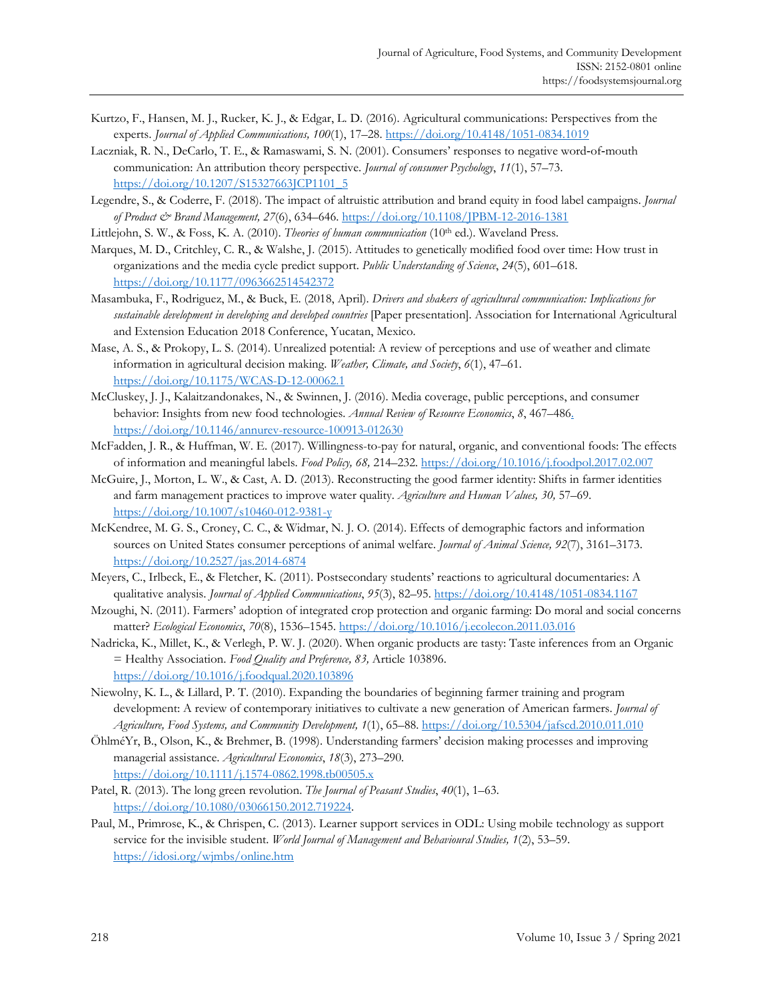- Kurtzo, F., Hansen, M. J., Rucker, K. J., & Edgar, L. D. (2016). Agricultural communications: Perspectives from the experts. *Journal of Applied Communications, 100*(1), 17–28.<https://doi.org/10.4148/1051-0834.1019>
- Laczniak, R. N., DeCarlo, T. E., & Ramaswami, S. N. (2001). Consumers' responses to negative word-of-mouth communication: An attribution theory perspective. *Journal of consumer Psychology*, *11*(1), 57–73. [https://doi.org/10.1207/S15327663JCP1101\\_5](https://doi.org/10.1207/S15327663JCP1101_5)
- Legendre, S., & Coderre, F. (2018). The impact of altruistic attribution and brand equity in food label campaigns. *Journal of Product & Brand Management, 27*(6), 634–646.<https://doi.org/10.1108/JPBM-12-2016-1381>
- Littlejohn, S. W., & Foss, K. A. (2010). *Theories of human communication* (10th ed.). Waveland Press.
- Marques, M. D., Critchley, C. R., & Walshe, J. (2015). Attitudes to genetically modified food over time: How trust in organizations and the media cycle predict support. *Public Understanding of Science*, *24*(5), 601–618. <https://doi.org/10.1177/0963662514542372>
- Masambuka, F., Rodriguez, M., & Buck, E. (2018, April). *Drivers and shakers of agricultural communication: Implications for sustainable development in developing and developed countries* [Paper presentation]. Association for International Agricultural and Extension Education 2018 Conference, Yucatan, Mexico.
- Mase, A. S., & Prokopy, L. S. (2014). Unrealized potential: A review of perceptions and use of weather and climate information in agricultural decision making. *Weather, Climate, and Society*, *6*(1), 47–61. <https://doi.org/10.1175/WCAS-D-12-00062.1>
- McCluskey, J. J., Kalaitzandonakes, N., & Swinnen, J. (2016). Media coverage, public perceptions, and consumer behavior: Insights from new food technologies. *Annual Review of Resource Economics*, *8*, 467–486. <https://doi.org/10.1146/annurev-resource-100913-012630>
- McFadden, J. R., & Huffman, W. E. (2017). Willingness-to-pay for natural, organic, and conventional foods: The effects of information and meaningful labels. *Food Policy, 68,* 214–232[. https://doi.org/10.1016/j.foodpol.2017.02.007](https://doi.org/10.1016/j.foodpol.2017.02.007)
- McGuire, J., Morton, L. W., & Cast, A. D. (2013). Reconstructing the good farmer identity: Shifts in farmer identities and farm management practices to improve water quality. *Agriculture and Human Values, 30,* 57–69. <https://doi.org/10.1007/s10460-012-9381-y>
- McKendree, M. G. S., Croney, C. C., & Widmar, N. J. O. (2014). Effects of demographic factors and information sources on United States consumer perceptions of animal welfare. *Journal of Animal Science, 92*(7), 3161–3173. <https://doi.org/10.2527/jas.2014-6874>
- Meyers, C., Irlbeck, E., & Fletcher, K. (2011). Postsecondary students' reactions to agricultural documentaries: A qualitative analysis. *Journal of Applied Communications*, *95*(3), 82–95.<https://doi.org/10.4148/1051-0834.1167>
- Mzoughi, N. (2011). Farmers' adoption of integrated crop protection and organic farming: Do moral and social concerns matter? *Ecological Economics*, *70*(8), 1536–1545[. https://doi.org/10.1016/j.ecolecon.2011.03.016](https://doi.org/10.1016/j.ecolecon.2011.03.016)
- Nadricka, K., Millet, K., & Verlegh, P. W. J. (2020). When organic products are tasty: Taste inferences from an Organic = Healthy Association. *Food Quality and Preference, 83,* Article 103896. <https://doi.org/10.1016/j.foodqual.2020.103896>
- Niewolny, K. L., & Lillard, P. T. (2010). Expanding the boundaries of beginning farmer training and program development: A review of contemporary initiatives to cultivate a new generation of American farmers. *Journal of Agriculture, Food Systems, and Community Development, 1*(1), 65–88.<https://doi.org/10.5304/jafscd.2010.011.010>
- ÖhlméYr, B., Olson, K., & Brehmer, B. (1998). Understanding farmers' decision making processes and improving managerial assistance. *Agricultural Economics*, *18*(3), 273–290. https://doi.org/10.1111/j.1574-0862.1998.tb00505.x
- Patel, R. (2013). The long green revolution. *The Journal of Peasant Studies*, *40*(1), 1–63. [https://doi.org/10.1080/03066150.2012.719224.](https://doi.org/10.1080/03066150.2012.719224)
- Paul, M., Primrose, K., & Chrispen, C. (2013). Learner support services in ODL: Using mobile technology as support service for the invisible student. *World Journal of Management and Behavioural Studies, 1*(2), 53–59. <https://idosi.org/wjmbs/online.htm>